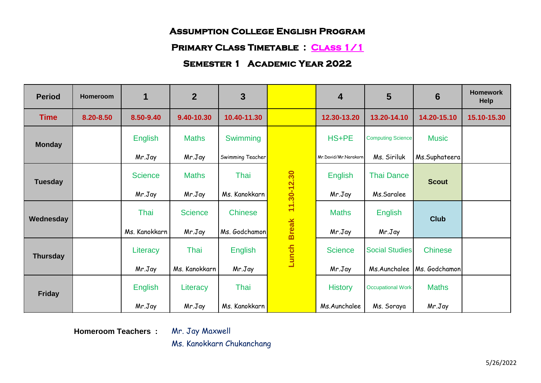#### **PRIMARY CLASS TIMETABLE : CLASS 1/1**

## **Semester 1 Academic Year 2022**

| <b>Period</b>   | Homeroom  | $\mathbf 1$    | $\overline{2}$ | 3                |              | $\overline{4}$       | 5                        | 6              | <b>Homework</b><br>Help |
|-----------------|-----------|----------------|----------------|------------------|--------------|----------------------|--------------------------|----------------|-------------------------|
| <b>Time</b>     | 8.20-8.50 | 8.50-9.40      | 9.40-10.30     | 10.40-11.30      |              | 12.30-13.20          | 13.20-14.10              | 14.20-15.10    | 15.10-15.30             |
| <b>Monday</b>   |           | <b>English</b> | <b>Maths</b>   | Swimming         |              | HS+PE                | <b>Computing Science</b> | <b>Music</b>   |                         |
|                 |           | Mr.Jay         | Mr.Jay         | Swimming Teacher |              | Mr.David/Mr.Narakorn | Ms. Siriluk              | Ms.Suphateera  |                         |
| <b>Tuesday</b>  |           | <b>Science</b> | <b>Maths</b>   | Thai             | 11.30-12.30  | <b>English</b>       | <b>Thai Dance</b>        | <b>Scout</b>   |                         |
|                 |           | Mr.Jay         | Mr.Jay         | Ms. Kanokkarn    |              | Mr.Jay               | Ms.Saralee               |                |                         |
| Wednesday       |           | Thai           | <b>Science</b> | <b>Chinese</b>   |              | <b>Maths</b>         | English                  | <b>Club</b>    |                         |
|                 |           | Ms. Kanokkarn  | Mr.Jay         | Ms. Godchamon    | <b>Break</b> | Mr.Jay               | Mr.Jay                   |                |                         |
| <b>Thursday</b> |           | Literacy       | Thai           | <b>English</b>   | Lunch        | <b>Science</b>       | <b>Social Studies</b>    | <b>Chinese</b> |                         |
|                 |           | Mr.Jay         | Ms. Kanokkarn  | Mr.Jay           |              | Mr.Jay               | Ms.Aunchalee             | Ms. Godchamon  |                         |
| <b>Friday</b>   |           | <b>English</b> | Literacy       | Thai             |              | <b>History</b>       | <b>Occupational Work</b> | <b>Maths</b>   |                         |
|                 |           | Mr.Jay         | Mr.Jay         | Ms. Kanokkarn    |              | Ms.Aunchalee         | Ms. Soraya               | Mr.Jay         |                         |

**Homeroom Teachers :** Mr. Jay Maxwell

Ms. Kanokkarn Chukanchang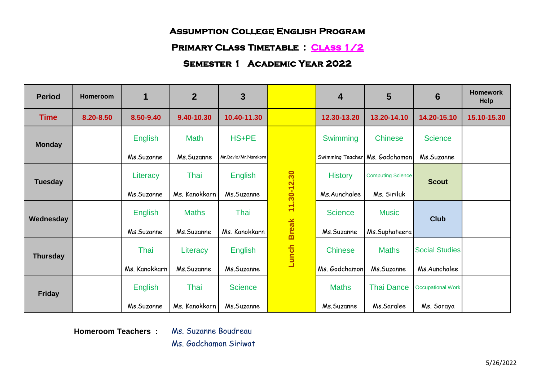#### **Primary Class Timetable : Class 1/2**

## **Semester 1 Academic Year 2022**

| <b>Period</b>   | Homeroom  | 1              | $\overline{2}$ | 3                    |              | $\overline{\mathbf{4}}$ | 5                              | 6                        | <b>Homework</b><br><b>Help</b> |
|-----------------|-----------|----------------|----------------|----------------------|--------------|-------------------------|--------------------------------|--------------------------|--------------------------------|
| <b>Time</b>     | 8.20-8.50 | 8.50-9.40      | 9.40-10.30     | 10.40-11.30          |              | 12.30-13.20             | 13.20-14.10                    | 14.20-15.10              | 15.10-15.30                    |
| <b>Monday</b>   |           | <b>English</b> | <b>Math</b>    | HS+PE                |              | Swimming                | <b>Chinese</b>                 | <b>Science</b>           |                                |
|                 |           | Ms.Suzanne     | Ms.Suzanne     | Mr.David/Mr.Narakorn |              |                         | Swimming Teacher Ms. Godchamon | Ms.Suzanne               |                                |
| <b>Tuesday</b>  |           | Literacy       | Thai           | <b>English</b>       | 11.30-12.30  | <b>History</b>          | <b>Computing Science</b>       | <b>Scout</b>             |                                |
|                 |           | Ms.Suzanne     | Ms. Kanokkarn  | Ms.Suzanne           |              | Ms.Aunchalee            | Ms. Siriluk                    |                          |                                |
| Wednesday       |           | <b>English</b> | <b>Maths</b>   | Thai                 |              | <b>Science</b>          | <b>Music</b>                   | <b>Club</b>              |                                |
|                 |           | Ms.Suzanne     | Ms.Suzanne     | Ms. Kanokkarn        | <b>Break</b> | Ms.Suzanne              | Ms.Suphateera                  |                          |                                |
| <b>Thursday</b> |           | Thai           | Literacy       | <b>English</b>       | Lunch        | <b>Chinese</b>          | <b>Maths</b>                   | <b>Social Studies</b>    |                                |
|                 |           | Ms. Kanokkarn  | Ms.Suzanne     | Ms.Suzanne           |              | Ms. Godchamon           | Ms.Suzanne                     | Ms.Aunchalee             |                                |
| <b>Friday</b>   |           | <b>English</b> | Thai           | <b>Science</b>       |              | <b>Maths</b>            | <b>Thai Dance</b>              | <b>Occupational Work</b> |                                |
|                 |           | Ms.Suzanne     | Ms. Kanokkarn  | Ms.Suzanne           |              | Ms.Suzanne              | Ms.Saralee                     | Ms. Soraya               |                                |

**Homeroom Teachers :** Ms. Suzanne Boudreau Ms. Godchamon Siriwat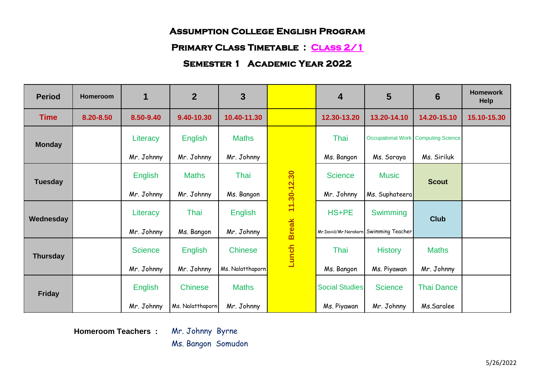#### **Primary Class Timetable : Class 2/1**

### **Semester 1 Academic Year 2022**

| <b>Period</b>   | Homeroom  | $\mathbf 1$    | $\overline{2}$   | 3                |                   | $\overline{4}$        | 5                                     | 6                                          | <b>Homework</b><br>Help |
|-----------------|-----------|----------------|------------------|------------------|-------------------|-----------------------|---------------------------------------|--------------------------------------------|-------------------------|
| <b>Time</b>     | 8.20-8.50 | 8.50-9.40      | 9.40-10.30       | 10.40-11.30      |                   | 12.30-13.20           | 13.20-14.10                           | 14.20-15.10                                | 15.10-15.30             |
| <b>Monday</b>   |           | Literacy       | <b>English</b>   | <b>Maths</b>     |                   | Thai                  |                                       | <b>Occupational Work Computing Science</b> |                         |
|                 |           | Mr. Johnny     | Mr. Johnny       | Mr. Johnny       |                   | Ms. Bangon            | Ms. Soraya                            | Ms. Siriluk                                |                         |
| <b>Tuesday</b>  |           | <b>English</b> | <b>Maths</b>     | Thai             |                   | <b>Science</b>        | <b>Music</b>                          | <b>Scout</b>                               |                         |
|                 |           | Mr. Johnny     | Mr. Johnny       | Ms. Bangon       |                   | Mr. Johnny            | Ms. Suphateera                        |                                            |                         |
| Wednesday       |           | Literacy       | Thai             | <b>English</b>   | Break 11.30-12.30 | HS+PE                 | Swimming                              | <b>Club</b>                                |                         |
|                 |           | Mr. Johnny     | Ms. Bangon       | Mr. Johnny       |                   |                       | Mr.David/Mr.Narakorn Swimming Teacher |                                            |                         |
| <b>Thursday</b> |           | <b>Science</b> | <b>English</b>   | <b>Chinese</b>   | Lunch             | Thai                  | <b>History</b>                        | <b>Maths</b>                               |                         |
|                 |           | Mr. Johnny     | Mr. Johnny       | Ms. Nalatthaporn |                   | Ms. Bangon            | Ms. Piyawan                           | Mr. Johnny                                 |                         |
| <b>Friday</b>   |           | <b>English</b> | <b>Chinese</b>   | <b>Maths</b>     |                   | <b>Social Studies</b> | <b>Science</b>                        | <b>Thai Dance</b>                          |                         |
|                 |           | Mr. Johnny     | Ms. Nalatthaporn | Mr. Johnny       |                   | Ms. Piyawan           | Mr. Johnny                            | Ms.Saralee                                 |                         |

**Homeroom Teachers :** Mr. Johnny Byrne

Ms. Bangon Somudon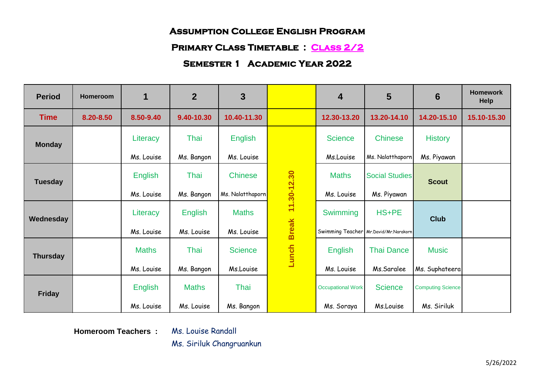#### **Primary Class Timetable : Class 2/2**

## **Semester 1 Academic Year 2022**

| <b>Period</b>   | <b>Homeroom</b> | 1            | $\overline{2}$ | 3                |              | $\overline{4}$           | 5                                     | 6                        | <b>Homework</b><br><b>Help</b> |
|-----------------|-----------------|--------------|----------------|------------------|--------------|--------------------------|---------------------------------------|--------------------------|--------------------------------|
| <b>Time</b>     | 8.20-8.50       | 8.50-9.40    | 9.40-10.30     | 10.40-11.30      |              | 12.30-13.20              | 13.20-14.10                           | 14.20-15.10              | 15.10-15.30                    |
| <b>Monday</b>   |                 | Literacy     | Thai           | <b>English</b>   |              | <b>Science</b>           | <b>Chinese</b>                        | <b>History</b>           |                                |
|                 |                 | Ms. Louise   | Ms. Bangon     | Ms. Louise       |              | Ms.Louise                | Ms. Nalatthaporn                      | Ms. Piyawan              |                                |
| <b>Tuesday</b>  |                 | English      | Thai           | <b>Chinese</b>   | 11.30-12.30  | <b>Maths</b>             | <b>Social Studies</b>                 | <b>Scout</b>             |                                |
|                 |                 | Ms. Louise   | Ms. Bangon     | Ms. Nalatthaporn |              | Ms. Louise               | Ms. Piyawan                           |                          |                                |
| Wednesday       |                 | Literacy     | <b>English</b> | <b>Maths</b>     |              | Swimming                 | HS+PE                                 | <b>Club</b>              |                                |
|                 |                 | Ms. Louise   | Ms. Louise     | Ms. Louise       | <b>Break</b> |                          | Swimming Teacher Mr.David/Mr.Narakorn |                          |                                |
| <b>Thursday</b> |                 | <b>Maths</b> | Thai           | <b>Science</b>   | Lunch        | English                  | <b>Thai Dance</b>                     | <b>Music</b>             |                                |
|                 |                 | Ms. Louise   | Ms. Bangon     | Ms.Louise        |              | Ms. Louise               | Ms.Saralee                            | Ms. Suphateera           |                                |
| <b>Friday</b>   |                 | English      | <b>Maths</b>   | Thai             |              | <b>Occupational Work</b> | <b>Science</b>                        | <b>Computing Science</b> |                                |
|                 |                 | Ms. Louise   | Ms. Louise     | Ms. Bangon       |              | Ms. Soraya               | Ms.Louise                             | Ms. Siriluk              |                                |

**Homeroom Teachers :** Ms. Louise Randall

Ms. Siriluk Changruankun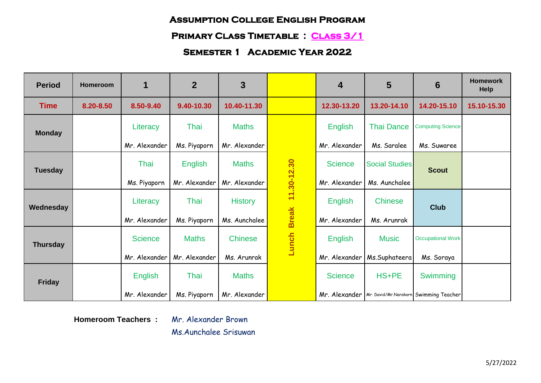## **Primary Class Timetable : Class 3/1**

# **Semester 1 Academic Year 2022**

| <b>Period</b>   | Homeroom  | $\blacktriangleleft$ | $\overline{2}$ | 3              |              | 4              | 5                     | 6                                                      | <b>Homework</b><br><b>Help</b> |
|-----------------|-----------|----------------------|----------------|----------------|--------------|----------------|-----------------------|--------------------------------------------------------|--------------------------------|
| <b>Time</b>     | 8.20-8.50 | 8.50-9.40            | 9.40-10.30     | 10.40-11.30    |              | 12.30-13.20    | 13.20-14.10           | 14.20-15.10                                            | 15.10-15.30                    |
| <b>Monday</b>   |           | Literacy             | Thai           | <b>Maths</b>   |              | <b>English</b> | <b>Thai Dance</b>     | <b>Computing Science</b>                               |                                |
|                 |           | Mr. Alexander        | Ms. Piyaporn   | Mr. Alexander  |              | Mr. Alexander  | Ms. Saralee           | Ms. Suwaree                                            |                                |
| <b>Tuesday</b>  |           | Thai                 | <b>English</b> | <b>Maths</b>   | 11.30-12.30  | <b>Science</b> | <b>Social Studies</b> | <b>Scout</b>                                           |                                |
|                 |           | Ms. Piyaporn         | Mr. Alexander  | Mr. Alexander  |              | Mr. Alexander  | Ms. Aunchalee         |                                                        |                                |
| Wednesday       |           | Literacy             | Thai           | <b>History</b> |              | <b>English</b> | <b>Chinese</b>        | <b>Club</b>                                            |                                |
|                 |           | Mr. Alexander        | Ms. Piyaporn   | Ms. Aunchalee  | <b>Break</b> | Mr. Alexander  | Ms. Arunrak           |                                                        |                                |
| <b>Thursday</b> |           | <b>Science</b>       | <b>Maths</b>   | <b>Chinese</b> | Lunch        | <b>English</b> | <b>Music</b>          | <b>Occupational Work</b>                               |                                |
|                 |           | Mr. Alexander        | Mr. Alexander  | Ms. Arunrak    |              | Mr. Alexander  | Ms.Suphateera         | Ms. Soraya                                             |                                |
| <b>Friday</b>   |           | <b>English</b>       | Thai           | <b>Maths</b>   |              | <b>Science</b> | HS+PE                 | Swimming                                               |                                |
|                 |           | Mr. Alexander        | Ms. Piyaporn   | Mr. Alexander  |              |                |                       | Mr. Alexander   Mr. David/Mr.Narakorn Swimming Teacher |                                |

**Homeroom Teachers :** Mr. Alexander Brown

Ms.Aunchalee Srisuwan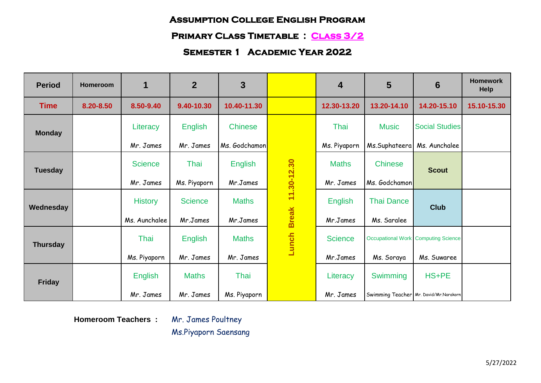# **Primary Class Timetable : Class 3/2**

# **Semester 1 Academic Year 2022**

| <b>Period</b>   | Homeroom  | 1              | $\overline{2}$ | 3              |              | $\overline{4}$ | 5                 | 6                                          | <b>Homework</b><br>Help |
|-----------------|-----------|----------------|----------------|----------------|--------------|----------------|-------------------|--------------------------------------------|-------------------------|
| <b>Time</b>     | 8.20-8.50 | 8.50-9.40      | 9.40-10.30     | 10.40-11.30    |              | 12.30-13.20    | 13.20-14.10       | 14.20-15.10                                | 15.10-15.30             |
| <b>Monday</b>   |           | Literacy       | <b>English</b> | <b>Chinese</b> |              | Thai           | <b>Music</b>      | <b>Social Studies</b>                      |                         |
|                 |           | Mr. James      | Mr. James      | Ms. Godchamon  |              | Ms. Piyaporn   | Ms.Suphateera     | Ms. Aunchalee                              |                         |
| <b>Tuesday</b>  |           | <b>Science</b> | Thai           | <b>English</b> | 11.30-12.30  | <b>Maths</b>   | <b>Chinese</b>    | <b>Scout</b>                               |                         |
|                 |           | Mr. James      | Ms. Piyaporn   | Mr.James       |              | Mr. James      | Ms. Godchamon     |                                            |                         |
| Wednesday       |           | <b>History</b> | <b>Science</b> | <b>Maths</b>   |              | English        | <b>Thai Dance</b> | <b>Club</b>                                |                         |
|                 |           | Ms. Aunchalee  | Mr.James       | Mr.James       | <b>Break</b> | Mr.James       | Ms. Saralee       |                                            |                         |
| <b>Thursday</b> |           | Thai           | <b>English</b> | <b>Maths</b>   | Lunch        | <b>Science</b> |                   | <b>Occupational Work Computing Science</b> |                         |
|                 |           | Ms. Piyaporn   | Mr. James      | Mr. James      |              | Mr.James       | Ms. Soraya        | Ms. Suwaree                                |                         |
| <b>Friday</b>   |           | <b>English</b> | <b>Maths</b>   | Thai           |              | Literacy       | Swimming          | HS+PE                                      |                         |
|                 |           | Mr. James      | Mr. James      | Ms. Piyaporn   |              | Mr. James      |                   | Swimming Teacher Mr. David/Mr.Narakorn     |                         |

**Homeroom Teachers :** Mr. James Poultney

Ms.Piyaporn Saensang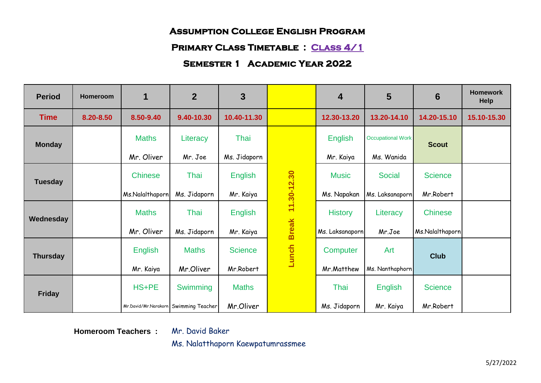# **Primary Class Timetable : Class 4/1**

## **Semester 1 Academic Year 2022**

| <b>Period</b>   | Homeroom  | $\mathbf 1$                           | $\overline{2}$ | 3              |              | $\overline{4}$  | 5                        | 6               | <b>Homework</b><br><b>Help</b> |
|-----------------|-----------|---------------------------------------|----------------|----------------|--------------|-----------------|--------------------------|-----------------|--------------------------------|
| <b>Time</b>     | 8.20-8.50 | 8.50-9.40                             | 9.40-10.30     | 10.40-11.30    |              | 12.30-13.20     | 13.20-14.10              | 14.20-15.10     | 15.10-15.30                    |
| <b>Monday</b>   |           | <b>Maths</b>                          | Literacy       | Thai           |              | English         | <b>Occupational Work</b> | <b>Scout</b>    |                                |
|                 |           | Mr. Oliver                            | Mr. Joe        | Ms. Jidaporn   |              | Mr. Kaiya       | Ms. Wanida               |                 |                                |
| <b>Tuesday</b>  |           | <b>Chinese</b>                        | Thai           | <b>English</b> | 11.30-12.30  | <b>Music</b>    | <b>Social</b>            | <b>Science</b>  |                                |
|                 |           | Ms.Nalalthaporn                       | Ms. Jidaporn   | Mr. Kaiya      |              | Ms. Napakan     | Ms. Laksanaporn          | Mr.Robert       |                                |
| Wednesday       |           | <b>Maths</b>                          | Thai           | <b>English</b> |              | <b>History</b>  | Literacy                 | <b>Chinese</b>  |                                |
|                 |           | Mr. Oliver                            | Ms. Jidaporn   | Mr. Kaiya      | <b>Break</b> | Ms. Laksanaporn | Mr.Joe                   | Ms.Nalalthaporn |                                |
| <b>Thursday</b> |           | <b>English</b>                        | <b>Maths</b>   | <b>Science</b> | Lunch        | Computer        | Art                      | <b>Club</b>     |                                |
|                 |           | Mr. Kaiya                             | Mr.Oliver      | Mr.Robert      |              | Mr.Matthew      | Ms. Nanthaphorn          |                 |                                |
| <b>Friday</b>   |           | HS+PE                                 | Swimming       | <b>Maths</b>   |              | Thai            | <b>English</b>           | <b>Science</b>  |                                |
|                 |           | Mr.David/Mr.Narakorn Swimming Teacher |                | Mr.Oliver      |              | Ms. Jidaporn    | Mr. Kaiya                | Mr.Robert       |                                |

**Homeroom Teachers :** Mr. David Baker

Ms. Nalatthaporn Kaewpatumrassmee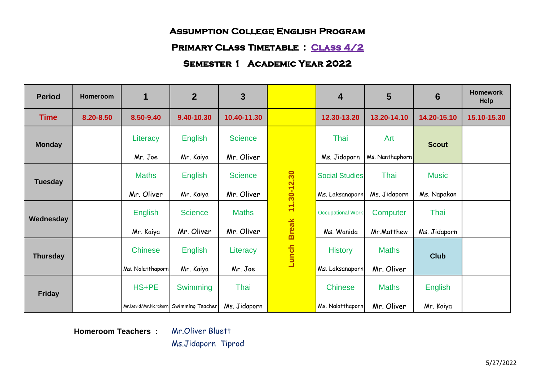#### **Primary Class Timetable : Class 4/2**

## **Semester 1 Academic Year 2022**

| <b>Period</b>   | Homeroom  | 1                | $\overline{2}$                        | 3              |              | $\overline{\mathbf{4}}$  | 5               | 6              | <b>Homework</b><br><b>Help</b> |
|-----------------|-----------|------------------|---------------------------------------|----------------|--------------|--------------------------|-----------------|----------------|--------------------------------|
| <b>Time</b>     | 8.20-8.50 | 8.50-9.40        | 9.40-10.30                            | 10.40-11.30    |              | 12.30-13.20              | 13.20-14.10     | 14.20-15.10    | 15.10-15.30                    |
| <b>Monday</b>   |           | Literacy         | <b>English</b>                        | <b>Science</b> |              | Thai                     | Art             | <b>Scout</b>   |                                |
|                 |           | Mr. Joe          | Mr. Kaiya                             | Mr. Oliver     |              | Ms. Jidaporn             | Ms. Nanthaphorn |                |                                |
| <b>Tuesday</b>  |           | <b>Maths</b>     | <b>English</b>                        | <b>Science</b> | 11.30-12.30  | <b>Social Studies</b>    | Thai            | <b>Music</b>   |                                |
|                 |           | Mr. Oliver       | Mr. Kaiya                             | Mr. Oliver     |              | Ms. Laksanaporn          | Ms. Jidaporn    | Ms. Napakan    |                                |
| Wednesday       |           | <b>English</b>   | <b>Science</b>                        | <b>Maths</b>   |              | <b>Occupational Work</b> | Computer        | Thai           |                                |
|                 |           | Mr. Kaiya        | Mr. Oliver                            | Mr. Oliver     | <b>Break</b> | Ms. Wanida               | Mr.Matthew      | Ms. Jidaporn   |                                |
| <b>Thursday</b> |           | <b>Chinese</b>   | <b>English</b>                        | Literacy       | Lunch        | <b>History</b>           | <b>Maths</b>    | <b>Club</b>    |                                |
|                 |           | Ms. Nalatthaporn | Mr. Kaiya                             | Mr. Joe        |              | Ms. Laksanaporn          | Mr. Oliver      |                |                                |
| <b>Friday</b>   |           | HS+PE            | Swimming                              | Thai           |              | <b>Chinese</b>           | <b>Maths</b>    | <b>English</b> |                                |
|                 |           |                  | Mr.David/Mr.Narakorn Swimming Teacher | Ms. Jidaporn   |              | Ms. Nalatthaporn         | Mr. Oliver      | Mr. Kaiya      |                                |

**Homeroom Teachers :** Mr.Oliver Bluett

Ms.Jidaporn Tiprod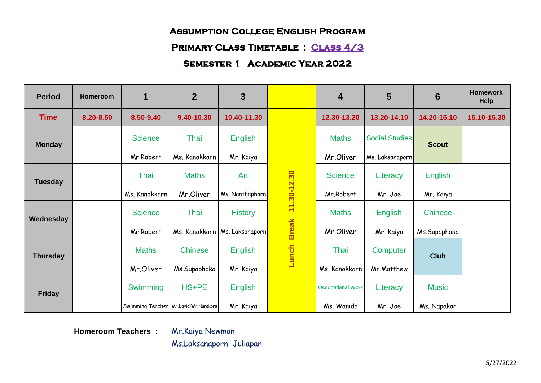#### **Primary Class Timetable : Class 4/3**

## **Semester 1 Academic Year 2022**

| <b>Period</b>   | Homeroom  | 1              | $\overline{2}$                        | 3                               |              | $\overline{4}$           | 5                     | 6              | <b>Homework</b><br><b>Help</b> |
|-----------------|-----------|----------------|---------------------------------------|---------------------------------|--------------|--------------------------|-----------------------|----------------|--------------------------------|
| <b>Time</b>     | 8.20-8.50 | 8.50-9.40      | 9.40-10.30                            | 10.40-11.30                     |              | 12.30-13.20              | 13.20-14.10           | 14.20-15.10    | 15.10-15.30                    |
| <b>Monday</b>   |           | <b>Science</b> | Thai                                  | <b>English</b>                  |              | <b>Maths</b>             | <b>Social Studies</b> | <b>Scout</b>   |                                |
|                 |           | Mr.Robert      | Ms. Kanokkarn                         | Mr. Kaiya                       |              | Mr.Oliver                | Ms. Laksanaporn       |                |                                |
| <b>Tuesday</b>  |           | Thai           | <b>Maths</b>                          | Art                             | 11.30-12.30  | <b>Science</b>           | Literacy              | <b>English</b> |                                |
|                 |           | Ms. Kanokkarn  | Mr.Oliver                             | Ms. Nanthaphorn                 |              | Mr.Robert                | Mr. Joe               | Mr. Kaiya      |                                |
| Wednesday       |           | <b>Science</b> | Thai                                  | <b>History</b>                  |              | <b>Maths</b>             | <b>English</b>        | <b>Chinese</b> |                                |
|                 |           | Mr.Robert      |                                       | Ms. Kanokkarn   Ms. Laksanaporn | <b>Break</b> | Mr.Oliver                | Mr. Kaiya             | Ms.Supaphaka   |                                |
| <b>Thursday</b> |           | <b>Maths</b>   | <b>Chinese</b>                        | <b>English</b>                  | Lunch        | Thai                     | Computer              | <b>Club</b>    |                                |
|                 |           | Mr.Oliver      | Ms.Supaphaka                          | Mr. Kaiya                       |              | Ms. Kanokkarn            | Mr.Matthew            |                |                                |
| <b>Friday</b>   |           | Swimming       | HS+PE                                 | <b>English</b>                  |              | <b>Occupational Work</b> | Literacy              | <b>Music</b>   |                                |
|                 |           |                | Swimming Teacher Mr.David/Mr.Narakorn | Mr. Kaiya                       |              | Ms. Wanida               | Mr. Joe               | Ms. Napakan    |                                |

**Homeroom Teachers :** Mr.Kaiya Newman

Ms.Laksanaporn Jullapan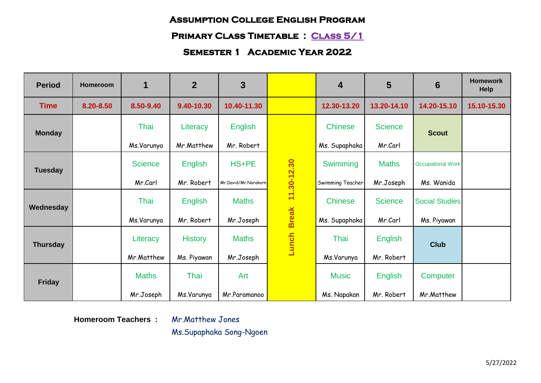# **Primary Class Timetable : Class 5/1**

# **Semester 1 Academic Year 2022**

| <b>Period</b>   | Homeroom  | $\mathbf 1$    | $\overline{2}$ | 3                    |              | $\overline{\mathbf{4}}$ | 5              | 6                        | <b>Homework</b><br><b>Help</b> |
|-----------------|-----------|----------------|----------------|----------------------|--------------|-------------------------|----------------|--------------------------|--------------------------------|
| <b>Time</b>     | 8.20-8.50 | 8.50-9.40      | 9.40-10.30     | 10.40-11.30          |              | 12.30-13.20             | 13.20-14.10    | 14.20-15.10              | 15.10-15.30                    |
| <b>Monday</b>   |           | Thai           | Literacy       | <b>English</b>       |              | <b>Chinese</b>          | <b>Science</b> | <b>Scout</b>             |                                |
|                 |           | Ms.Varunya     | Mr.Matthew     | Mr. Robert           |              | Ms. Supaphaka           | Mr.Carl        |                          |                                |
| <b>Tuesday</b>  |           | <b>Science</b> | <b>English</b> | HS+PE                | 11.30-12.30  | Swimming                | <b>Maths</b>   | <b>Occupational Work</b> |                                |
|                 |           | Mr.Carl        | Mr. Robert     | Mr.David/Mr.Narakorn |              | Swimming Teacher        | Mr.Joseph      | Ms. Wanida               |                                |
| Wednesday       |           | Thai           | <b>English</b> | <b>Maths</b>         |              | <b>Chinese</b>          | <b>Science</b> | <b>Social Studies</b>    |                                |
|                 |           | Ms.Varunya     | Mr. Robert     | Mr.Joseph            | <b>Break</b> | Ms. Supaphaka           | Mr.Carl        | Ms. Piyawan              |                                |
| <b>Thursday</b> |           | Literacy       | <b>History</b> | <b>Maths</b>         | Lunch        | Thai                    | <b>English</b> | <b>Club</b>              |                                |
|                 |           | Mr.Matthew     | Ms. Piyawan    | Mr.Joseph            |              | Ms.Varunya              | Mr. Robert     |                          |                                |
| <b>Friday</b>   |           | <b>Maths</b>   | Thai           | Art                  |              | <b>Music</b>            | English        | Computer                 |                                |
|                 |           | Mr.Joseph      | Ms.Varunya     | Mr.Paramanoo         |              | Ms. Napakan             | Mr. Robert     | Mr.Matthew               |                                |

**Homeroom Teachers :** Mr.Matthew Jones

Ms.Supaphaka Song-Ngoen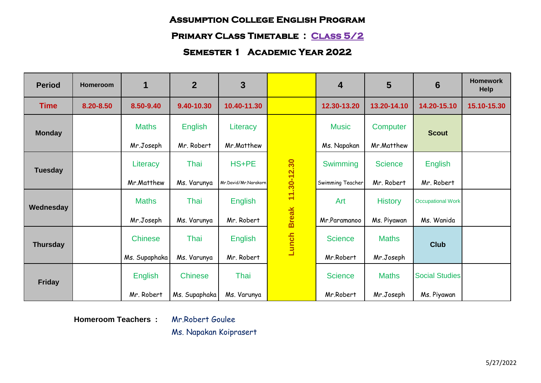## **Primary Class Timetable : Class 5/2**

# **Semester 1 Academic Year 2022**

| <b>Period</b>   | Homeroom  | $\mathbf 1$    | $\overline{2}$ | 3                    |              | $\overline{\mathbf{4}}$ | 5              | 6                        | <b>Homework</b><br><b>Help</b> |
|-----------------|-----------|----------------|----------------|----------------------|--------------|-------------------------|----------------|--------------------------|--------------------------------|
| <b>Time</b>     | 8.20-8.50 | 8.50-9.40      | 9.40-10.30     | 10.40-11.30          |              | 12.30-13.20             | 13.20-14.10    | 14.20-15.10              | 15.10-15.30                    |
| <b>Monday</b>   |           | <b>Maths</b>   | <b>English</b> | Literacy             |              | <b>Music</b>            | Computer       | <b>Scout</b>             |                                |
|                 |           | Mr.Joseph      | Mr. Robert     | Mr.Matthew           |              | Ms. Napakan             | Mr.Matthew     |                          |                                |
| <b>Tuesday</b>  |           | Literacy       | Thai           | HS+PE                | 11.30-12.30  | Swimming                | <b>Science</b> | <b>English</b>           |                                |
|                 |           | Mr.Matthew     | Ms. Varunya    | Mr.David/Mr.Narakorn |              | Swimming Teacher        | Mr. Robert     | Mr. Robert               |                                |
| Wednesday       |           | <b>Maths</b>   | Thai           | <b>English</b>       |              | Art                     | <b>History</b> | <b>Occupational Work</b> |                                |
|                 |           | Mr.Joseph      | Ms. Varunya    | Mr. Robert           | <b>Break</b> | Mr.Paramanoo            | Ms. Piyawan    | Ms. Wanida               |                                |
| <b>Thursday</b> |           | <b>Chinese</b> | Thai           | English              | Lunch        | <b>Science</b>          | <b>Maths</b>   | <b>Club</b>              |                                |
|                 |           | Ms. Supaphaka  | Ms. Varunya    | Mr. Robert           |              | Mr.Robert               | Mr.Joseph      |                          |                                |
| <b>Friday</b>   |           | <b>English</b> | <b>Chinese</b> | Thai                 |              | <b>Science</b>          | <b>Maths</b>   | <b>Social Studies</b>    |                                |
|                 |           | Mr. Robert     | Ms. Supaphaka  | Ms. Varunya          |              | Mr.Robert               | Mr.Joseph      | Ms. Piyawan              |                                |

**Homeroom Teachers :** Mr.Robert Goulee

Ms. Napakan Koiprasert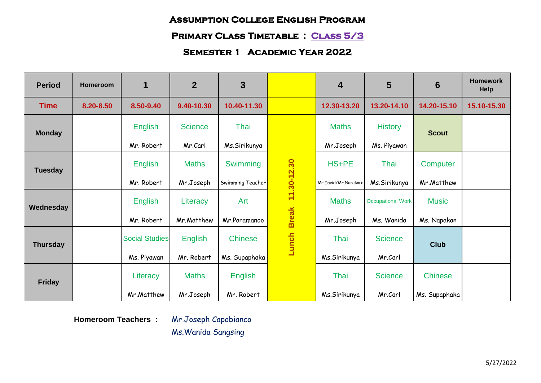# **Primary Class Timetable : Class 5/3**

# **Semester 1 Academic Year 2022**

| <b>Period</b>   | Homeroom  | 1                     | $\overline{2}$ | 3                |              | $\overline{4}$       | 5                        | 6              | <b>Homework</b><br><b>Help</b> |
|-----------------|-----------|-----------------------|----------------|------------------|--------------|----------------------|--------------------------|----------------|--------------------------------|
| <b>Time</b>     | 8.20-8.50 | 8.50-9.40             | 9.40-10.30     | 10.40-11.30      |              | 12.30-13.20          | 13.20-14.10              | 14.20-15.10    | 15.10-15.30                    |
| <b>Monday</b>   |           | <b>English</b>        | <b>Science</b> | Thai             |              | <b>Maths</b>         | <b>History</b>           | <b>Scout</b>   |                                |
|                 |           | Mr. Robert            | Mr.Carl        | Ms.Sirikunya     |              | Mr.Joseph            | Ms. Piyawan              |                |                                |
| <b>Tuesday</b>  |           | <b>English</b>        | <b>Maths</b>   | Swimming         | 11.30-12.30  | HS+PE                | Thai                     | Computer       |                                |
|                 |           | Mr. Robert            | Mr.Joseph      | Swimming Teacher |              | Mr.David/Mr.Narakorr | Ms.Sirikunya             | Mr.Matthew     |                                |
| Wednesday       |           | <b>English</b>        | Literacy       | Art              |              | <b>Maths</b>         | <b>Occupational Work</b> | <b>Music</b>   |                                |
|                 |           | Mr. Robert            | Mr.Matthew     | Mr.Paramanoo     | <b>Break</b> | Mr.Joseph            | Ms. Wanida               | Ms. Napakan    |                                |
| <b>Thursday</b> |           | <b>Social Studies</b> | <b>English</b> | <b>Chinese</b>   | Lunch        | Thai                 | <b>Science</b>           | <b>Club</b>    |                                |
|                 |           | Ms. Piyawan           | Mr. Robert     | Ms. Supaphaka    |              | Ms.Sirikunya         | Mr.Carl                  |                |                                |
| <b>Friday</b>   |           | Literacy              | <b>Maths</b>   | <b>English</b>   |              | Thai                 | <b>Science</b>           | <b>Chinese</b> |                                |
|                 |           | Mr.Matthew            | Mr.Joseph      | Mr. Robert       |              | Ms.Sirikunya         | Mr.Carl                  | Ms. Supaphaka  |                                |

**Homeroom Teachers :** Mr.Joseph Capobianco

Ms.Wanida Sangsing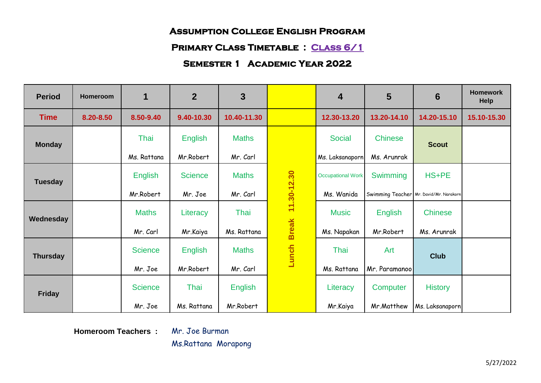## **Primary Class Timetable : Class 6/1**

## **Semester 1 Academic Year 2022**

| <b>Period</b>   | Homeroom  | 1              | $\overline{2}$ | 3              |                             | $\overline{4}$           | 5              | 6                                       | <b>Homework</b><br>Help |
|-----------------|-----------|----------------|----------------|----------------|-----------------------------|--------------------------|----------------|-----------------------------------------|-------------------------|
| <b>Time</b>     | 8.20-8.50 | 8.50-9.40      | 9.40-10.30     | 10.40-11.30    |                             | 12.30-13.20              | 13.20-14.10    | 14.20-15.10                             | 15.10-15.30             |
| <b>Monday</b>   |           | Thai           | <b>English</b> | <b>Maths</b>   | 11.30-12.30<br><b>Break</b> | <b>Social</b>            | <b>Chinese</b> | <b>Scout</b>                            |                         |
|                 |           | Ms. Rattana    | Mr.Robert      | Mr. Carl       |                             | Ms. Laksanaporn          | Ms. Arunrak    |                                         |                         |
| <b>Tuesday</b>  |           | <b>English</b> | <b>Science</b> | <b>Maths</b>   |                             | <b>Occupational Work</b> | Swimming       | HS+PE                                   |                         |
|                 |           | Mr.Robert      | Mr. Joe        | Mr. Carl       |                             | Ms. Wanida               |                | Swimming Teacher Mr. David/Mr. Narakorn |                         |
| Wednesday       |           | <b>Maths</b>   | Literacy       | Thai           |                             | <b>Music</b>             | English        | <b>Chinese</b>                          |                         |
|                 |           | Mr. Carl       | Mr.Kaiya       | Ms. Rattana    |                             | Ms. Napakan              | Mr.Robert      | Ms. Arunrak                             |                         |
| <b>Thursday</b> |           | <b>Science</b> | <b>English</b> | <b>Maths</b>   | Lunch                       | Thai                     | Art            | <b>Club</b>                             |                         |
|                 |           | Mr. Joe        | Mr.Robert      | Mr. Carl       |                             | Ms. Rattana              | Mr. Paramanoo  |                                         |                         |
| <b>Friday</b>   |           | <b>Science</b> | Thai           | <b>English</b> |                             | Literacy                 | Computer       | <b>History</b>                          |                         |
|                 |           | Mr. Joe        | Ms. Rattana    | Mr.Robert      |                             | Mr.Kaiya                 | Mr.Matthew     | Ms. Laksanaporn                         |                         |

**Homeroom Teachers :** Mr. Joe Burman

Ms.Rattana Morapong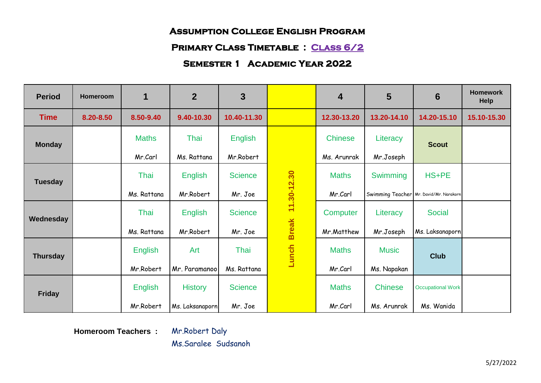#### **Primary Class Timetable : Class 6/2**

## **Semester 1 Academic Year 2022**

| <b>Period</b>   | Homeroom  | 1              | $\overline{2}$  | 3              |                   | $\overline{4}$ | 5              | 6                                       | <b>Homework</b><br>Help |
|-----------------|-----------|----------------|-----------------|----------------|-------------------|----------------|----------------|-----------------------------------------|-------------------------|
| <b>Time</b>     | 8.20-8.50 | 8.50-9.40      | 9.40-10.30      | 10.40-11.30    |                   | 12.30-13.20    | 13.20-14.10    | 14.20-15.10                             | 15.10-15.30             |
| <b>Monday</b>   |           | <b>Maths</b>   | Thai            | <b>English</b> | Break 11.30-12.30 | <b>Chinese</b> | Literacy       | <b>Scout</b>                            |                         |
|                 |           | Mr.Carl        | Ms. Rattana     | Mr.Robert      |                   | Ms. Arunrak    | Mr.Joseph      |                                         |                         |
| <b>Tuesday</b>  |           | Thai           | <b>English</b>  | <b>Science</b> |                   | <b>Maths</b>   | Swimming       | HS+PE                                   |                         |
|                 |           | Ms. Rattana    | Mr.Robert       | Mr. Joe        |                   | Mr.Carl        |                | Swimming Teacher Mr. David/Mr. Narakorn |                         |
| Wednesday       |           | Thai           | <b>English</b>  | <b>Science</b> |                   | Computer       | Literacy       | <b>Social</b>                           |                         |
|                 |           | Ms. Rattana    | Mr.Robert       | Mr. Joe        |                   | Mr.Matthew     | Mr.Joseph      | Ms. Laksanaporn                         |                         |
| <b>Thursday</b> |           | English        | Art             | Thai           | Lunch             | <b>Maths</b>   | <b>Music</b>   | <b>Club</b>                             |                         |
|                 |           | Mr.Robert      | Mr. Paramanoo   | Ms. Rattana    |                   | Mr.Carl        | Ms. Napakan    |                                         |                         |
| <b>Friday</b>   |           | <b>English</b> | <b>History</b>  | <b>Science</b> |                   | <b>Maths</b>   | <b>Chinese</b> | <b>Occupational Work</b>                |                         |
|                 |           | Mr.Robert      | Ms. Laksanaporn | Mr. Joe        |                   | Mr.Carl        | Ms. Arunrak    | Ms. Wanida                              |                         |

**Homeroom Teachers :** Mr.Robert Daly

Ms.Saralee Sudsanoh